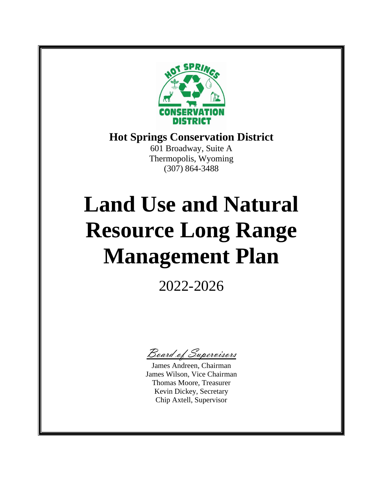

## **Hot Springs Conservation District**

601 Broadway, Suite A Thermopolis, Wyoming (307) 864-3488

# **Land Use and Natural Resource Long Range Management Plan**

2022-2026

Board of Supervisors

James Andreen, Chairman James Wilson, Vice Chairman Thomas Moore, Treasurer Kevin Dickey, Secretary Chip Axtell, Supervisor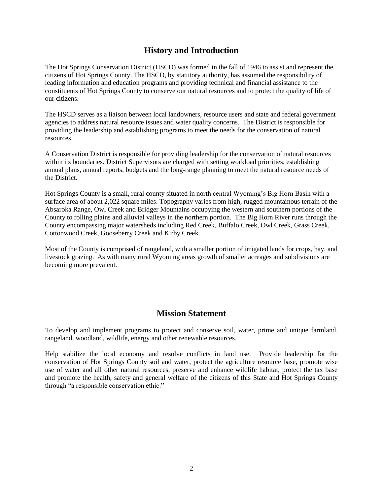## **History and Introduction**

The Hot Springs Conservation District (HSCD) was formed in the fall of 1946 to assist and represent the citizens of Hot Springs County. The HSCD, by statutory authority, has assumed the responsibility of leading information and education programs and providing technical and financial assistance to the constituents of Hot Springs County to conserve our natural resources and to protect the quality of life of our citizens.

The HSCD serves as a liaison between local landowners, resource users and state and federal government agencies to address natural resource issues and water quality concerns. The District is responsible for providing the leadership and establishing programs to meet the needs for the conservation of natural resources.

A Conservation District is responsible for providing leadership for the conservation of natural resources within its boundaries. District Supervisors are charged with setting workload priorities, establishing annual plans, annual reports, budgets and the long-range planning to meet the natural resource needs of the District.

Hot Springs County is a small, rural county situated in north central Wyoming's Big Horn Basin with a surface area of about 2,022 square miles. Topography varies from high, rugged mountainous terrain of the Absaroka Range, Owl Creek and Bridger Mountains occupying the western and southern portions of the County to rolling plains and alluvial valleys in the northern portion. The Big Horn River runs through the County encompassing major watersheds including Red Creek, Buffalo Creek, Owl Creek, Grass Creek, Cottonwood Creek, Gooseberry Creek and Kirby Creek.

Most of the County is comprised of rangeland, with a smaller portion of irrigated lands for crops, hay, and livestock grazing. As with many rural Wyoming areas growth of smaller acreages and subdivisions are becoming more prevalent.

## **Mission Statement**

To develop and implement programs to protect and conserve soil, water, prime and unique farmland, rangeland, woodland, wildlife, energy and other renewable resources.

Help stabilize the local economy and resolve conflicts in land use. Provide leadership for the conservation of Hot Springs County soil and water, protect the agriculture resource base, promote wise use of water and all other natural resources, preserve and enhance wildlife habitat, protect the tax base and promote the health, safety and general welfare of the citizens of this State and Hot Springs County through "a responsible conservation ethic."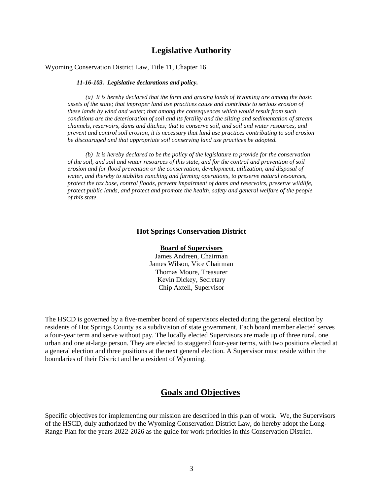## **Legislative Authority**

#### Wyoming Conservation District Law, Title 11, Chapter 16

#### *11-16-103. Legislative declarations and policy.*

*(a) It is hereby declared that the farm and grazing lands of Wyoming are among the basic assets of the state; that improper land use practices cause and contribute to serious erosion of these lands by wind and water; that among the consequences which would result from such conditions are the deterioration of soil and its fertility and the silting and sedimentation of stream channels, reservoirs, dams and ditches; that to conserve soil, and soil and water resources, and prevent and control soil erosion, it is necessary that land use practices contributing to soil erosion be discouraged and that appropriate soil conserving land use practices be adopted.* 

*(b) It is hereby declared to be the policy of the legislature to provide for the conservation of the soil, and soil and water resources of this state, and for the control and prevention of soil erosion and for flood prevention or the conservation, development, utilization, and disposal of water, and thereby to stabilize ranching and farming operations, to preserve natural resources, protect the tax base, control floods, prevent impairment of dams and reservoirs, preserve wildlife, protect public lands, and protect and promote the health, safety and general welfare of the people of this state.*

#### **Hot Springs Conservation District**

#### **Board of Supervisors**

James Andreen, Chairman James Wilson, Vice Chairman Thomas Moore, Treasurer Kevin Dickey, Secretary Chip Axtell, Supervisor

The HSCD is governed by a five-member board of supervisors elected during the general election by residents of Hot Springs County as a subdivision of state government. Each board member elected serves a four-year term and serve without pay. The locally elected Supervisors are made up of three rural, one urban and one at-large person. They are elected to staggered four-year terms, with two positions elected at a general election and three positions at the next general election. A Supervisor must reside within the boundaries of their District and be a resident of Wyoming.

#### **Goals and Objectives**

Specific objectives for implementing our mission are described in this plan of work. We, the Supervisors of the HSCD, duly authorized by the Wyoming Conservation District Law, do hereby adopt the Long-Range Plan for the years 2022-2026 as the guide for work priorities in this Conservation District.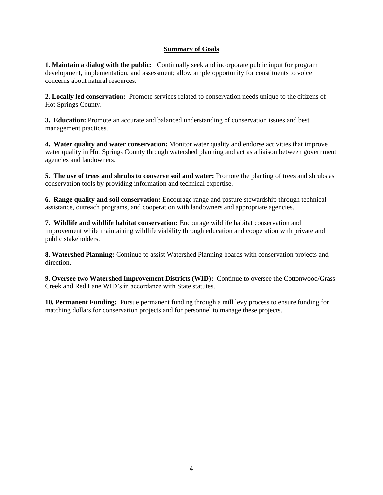#### **Summary of Goals**

**1. Maintain a dialog with the public:** Continually seek and incorporate public input for program development, implementation, and assessment; allow ample opportunity for constituents to voice concerns about natural resources.

**2. Locally led conservation:** Promote services related to conservation needs unique to the citizens of Hot Springs County.

**3. Education:** Promote an accurate and balanced understanding of conservation issues and best management practices.

**4. Water quality and water conservation:** Monitor water quality and endorse activities that improve water quality in Hot Springs County through watershed planning and act as a liaison between government agencies and landowners.

**5. The use of trees and shrubs to conserve soil and water:** Promote the planting of trees and shrubs as conservation tools by providing information and technical expertise.

**6. Range quality and soil conservation:** Encourage range and pasture stewardship through technical assistance, outreach programs, and cooperation with landowners and appropriate agencies.

**7. Wildlife and wildlife habitat conservation:** Encourage wildlife habitat conservation and improvement while maintaining wildlife viability through education and cooperation with private and public stakeholders.

**8. Watershed Planning:** Continue to assist Watershed Planning boards with conservation projects and direction.

**9. Oversee two Watershed Improvement Districts (WID):** Continue to oversee the Cottonwood/Grass Creek and Red Lane WID's in accordance with State statutes.

**10. Permanent Funding:** Pursue permanent funding through a mill levy process to ensure funding for matching dollars for conservation projects and for personnel to manage these projects.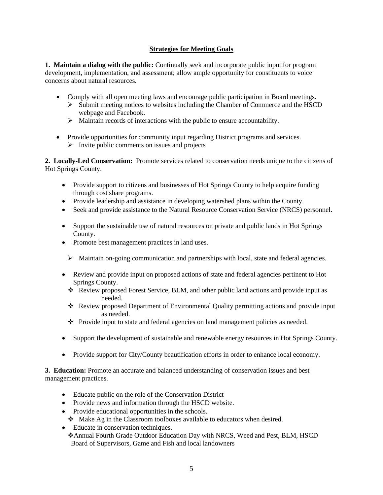#### **Strategies for Meeting Goals**

**1. Maintain a dialog with the public:** Continually seek and incorporate public input for program development, implementation, and assessment; allow ample opportunity for constituents to voice concerns about natural resources.

- Comply with all open meeting laws and encourage public participation in Board meetings.
	- $\triangleright$  Submit meeting notices to websites including the Chamber of Commerce and the HSCD webpage and Facebook.
	- ➢ Maintain records of interactions with the public to ensure accountability.
- Provide opportunities for community input regarding District programs and services.  $\triangleright$  Invite public comments on issues and projects

**2. Locally-Led Conservation:** Promote services related to conservation needs unique to the citizens of Hot Springs County.

- Provide support to citizens and businesses of Hot Springs County to help acquire funding through cost share programs.
- Provide leadership and assistance in developing watershed plans within the County.
- Seek and provide assistance to the Natural Resource Conservation Service (NRCS) personnel.
- Support the sustainable use of natural resources on private and public lands in Hot Springs County.
- Promote best management practices in land uses.
	- $\triangleright$  Maintain on-going communication and partnerships with local, state and federal agencies.
- Review and provide input on proposed actions of state and federal agencies pertinent to Hot Springs County.
	- ❖ Review proposed Forest Service, BLM, and other public land actions and provide input as needed.
	- ❖ Review proposed Department of Environmental Quality permitting actions and provide input as needed.
	- ❖ Provide input to state and federal agencies on land management policies as needed.
- Support the development of sustainable and renewable energy resources in Hot Springs County.
- Provide support for City/County beautification efforts in order to enhance local economy.

**3. Education:** Promote an accurate and balanced understanding of conservation issues and best management practices.

- Educate public on the role of the Conservation District
- Provide news and information through the HSCD website.
- Provide educational opportunities in the schools.
	- ❖ Make Ag in the Classroom toolboxes available to educators when desired.
- Educate in conservation techniques. ❖Annual Fourth Grade Outdoor Education Day with NRCS, Weed and Pest, BLM, HSCD Board of Supervisors, Game and Fish and local landowners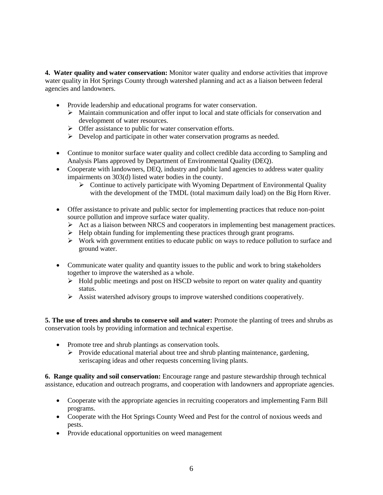**4. Water quality and water conservation:** Monitor water quality and endorse activities that improve water quality in Hot Springs County through watershed planning and act as a liaison between federal agencies and landowners.

- Provide leadership and educational programs for water conservation.
	- ➢ Maintain communication and offer input to local and state officials for conservation and development of water resources.
	- ➢ Offer assistance to public for water conservation efforts.
	- ➢ Develop and participate in other water conservation programs as needed.
- Continue to monitor surface water quality and collect credible data according to Sampling and Analysis Plans approved by Department of Environmental Quality (DEQ).
- Cooperate with landowners, DEQ, industry and public land agencies to address water quality impairments on 303(d) listed water bodies in the county.
	- ➢ Continue to actively participate with Wyoming Department of Environmental Quality with the development of the TMDL (total maximum daily load) on the Big Horn River.
- Offer assistance to private and public sector for implementing practices that reduce non-point source pollution and improve surface water quality.
	- $\triangleright$  Act as a liaison between NRCS and cooperators in implementing best management practices.
	- ➢ Help obtain funding for implementing these practices through grant programs.
	- ➢ Work with government entities to educate public on ways to reduce pollution to surface and ground water.
- Communicate water quality and quantity issues to the public and work to bring stakeholders together to improve the watershed as a whole.
	- ➢ Hold public meetings and post on HSCD website to report on water quality and quantity status.
	- $\triangleright$  Assist watershed advisory groups to improve watershed conditions cooperatively.

**5. The use of trees and shrubs to conserve soil and water:** Promote the planting of trees and shrubs as conservation tools by providing information and technical expertise.

- Promote tree and shrub plantings as conservation tools.
	- $\triangleright$  Provide educational material about tree and shrub planting maintenance, gardening, xeriscaping ideas and other requests concerning living plants.

**6. Range quality and soil conservation:** Encourage range and pasture stewardship through technical assistance, education and outreach programs, and cooperation with landowners and appropriate agencies.

- Cooperate with the appropriate agencies in recruiting cooperators and implementing Farm Bill programs.
- Cooperate with the Hot Springs County Weed and Pest for the control of noxious weeds and pests.
- Provide educational opportunities on weed management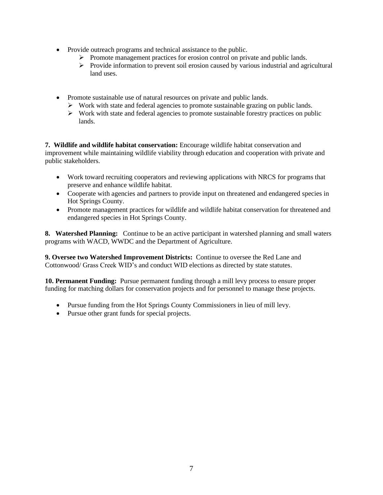- Provide outreach programs and technical assistance to the public.
	- ➢ Promote management practices for erosion control on private and public lands.
	- ➢ Provide information to prevent soil erosion caused by various industrial and agricultural land uses.
- Promote sustainable use of natural resources on private and public lands.
	- $\triangleright$  Work with state and federal agencies to promote sustainable grazing on public lands.
	- ➢ Work with state and federal agencies to promote sustainable forestry practices on public lands.

**7. Wildlife and wildlife habitat conservation:** Encourage wildlife habitat conservation and improvement while maintaining wildlife viability through education and cooperation with private and public stakeholders.

- Work toward recruiting cooperators and reviewing applications with NRCS for programs that preserve and enhance wildlife habitat.
- Cooperate with agencies and partners to provide input on threatened and endangered species in Hot Springs County.
- Promote management practices for wildlife and wildlife habitat conservation for threatened and endangered species in Hot Springs County.

**8. Watershed Planning:** Continue to be an active participant in watershed planning and small waters programs with WACD, WWDC and the Department of Agriculture.

**9. Oversee two Watershed Improvement Districts:** Continue to oversee the Red Lane and Cottonwood/ Grass Creek WID's and conduct WID elections as directed by state statutes.

**10. Permanent Funding:** Pursue permanent funding through a mill levy process to ensure proper funding for matching dollars for conservation projects and for personnel to manage these projects.

- Pursue funding from the Hot Springs County Commissioners in lieu of mill levy.
- Pursue other grant funds for special projects.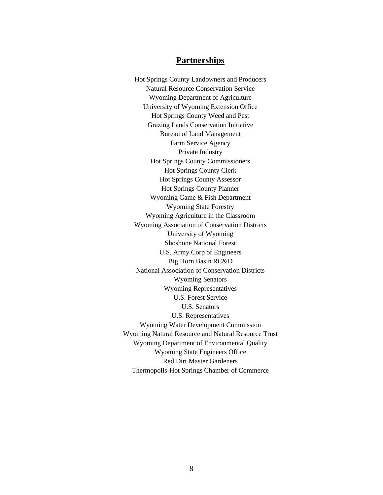### **Partnerships**

Hot Springs County Landowners and Producers Natural Resource Conservation Service Wyoming Department of Agriculture University of Wyoming Extension Office Hot Springs County Weed and Pest Grazing Lands Conservation Initiative Bureau of Land Management Farm Service Agency Private Industry Hot Springs County Commissioners Hot Springs County Clerk Hot Springs County Assessor Hot Springs County Planner Wyoming Game & Fish Department Wyoming State Forestry Wyoming Agriculture in the Classroom Wyoming Association of Conservation Districts University of Wyoming Shoshone National Forest U.S. Army Corp of Engineers Big Horn Basin RC&D National Association of Conservation Districts Wyoming Senators Wyoming Representatives U.S. Forest Service U.S. Senators U.S. Representatives Wyoming Water Development Commission Wyoming Natural Resource and Natural Resource Trust Wyoming Department of Environmental Quality Wyoming State Engineers Office Red Dirt Master Gardeners Thermopolis-Hot Springs Chamber of Commerce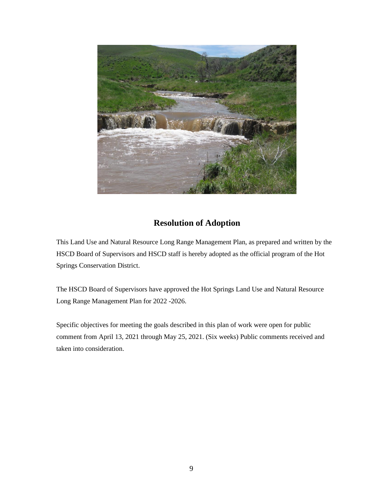

## **Resolution of Adoption**

This Land Use and Natural Resource Long Range Management Plan, as prepared and written by the HSCD Board of Supervisors and HSCD staff is hereby adopted as the official program of the Hot Springs Conservation District.

The HSCD Board of Supervisors have approved the Hot Springs Land Use and Natural Resource Long Range Management Plan for 2022 -2026.

Specific objectives for meeting the goals described in this plan of work were open for public comment from April 13, 2021 through May 25, 2021. (Six weeks) Public comments received and taken into consideration.